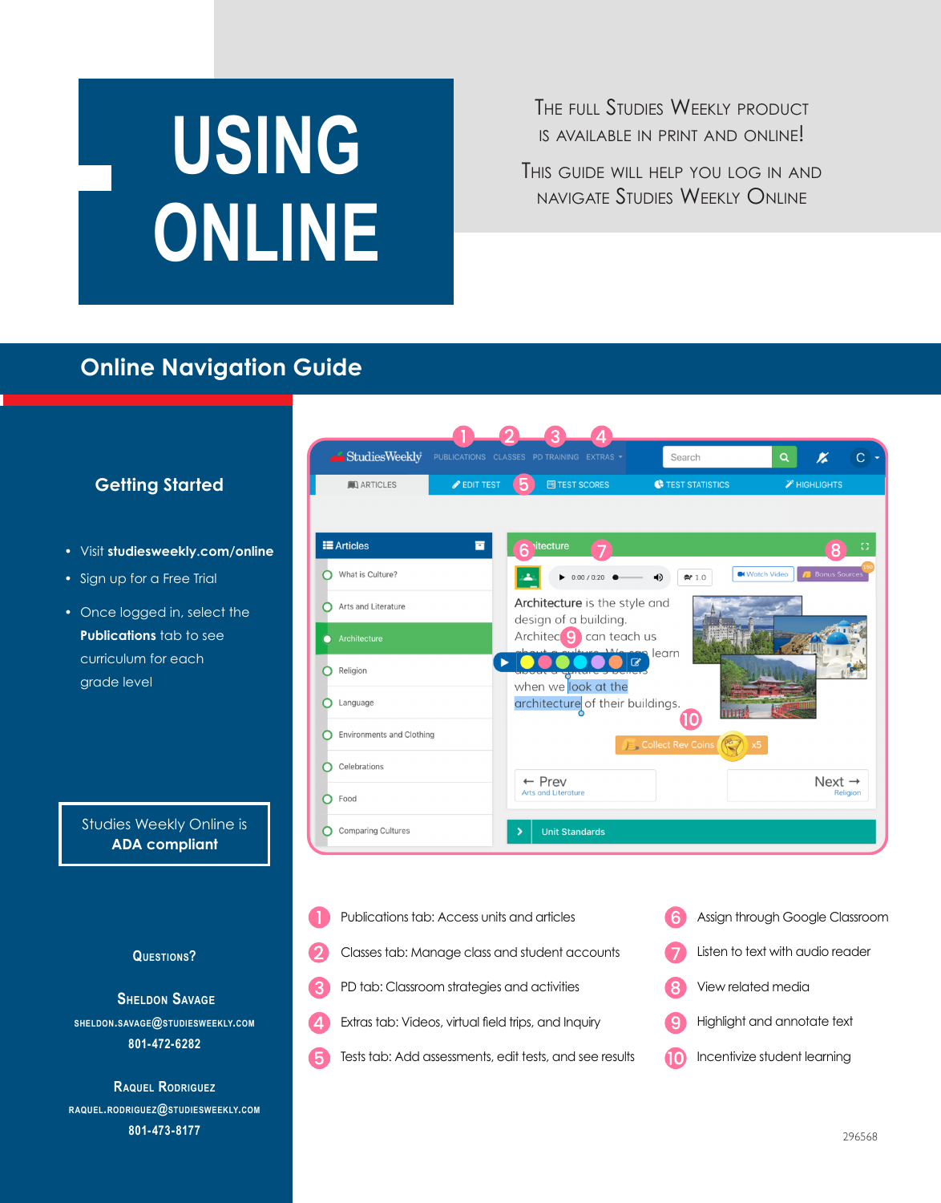# **USING ONLINE**

THE FULL STUDIES WEEKLY PRODUCT is available in print and online!

This guide will help you log in and navigate Studies Weekly Online

### **Online Navigation Guide**

#### StudiesWeekly  $\alpha$ Search K  $\overline{C}$ TEST STATISTICS **A** HIGHLIGHTS **ARTICLES EDIT TEST** 圈 TEST SCORES **E** Articles 冒 What is Culture? **C** Watch Video  $\bullet$  0:00 / 0:20  $\bullet$  $\blacklozenge$  $2210$ Architecture is the style and Arts and Literature design of a building. Architec<sup>o</sup> can teach us learn  $\overline{\mathcal{C}}$  $\mathbf{b}$  . **O** Religion when we look at the C Language architecture of their buildings. (10 **O** Environments and Clothing Collect Rev Coins O Celebrations  $\leftarrow$  Prev Next  $\rightarrow$ enutorati Lbr  $O$  Food Comparing Cultures **Unit Standards**



Studies Weekly Online is **ADA compliant**

**Getting Started**

• Visit **studiesweekly.com/online**

• Sign up for a Free Trial

grade level

• Once logged in, select the **Publications** tab to see curriculum for each

**Questions?**

**Sheldon Savage sheldon.savage@studiesweekly.com 801-472-6282**

**Raquel Rodriguez raquel.rodriguez@studiesweekly.com 801-473-8177**